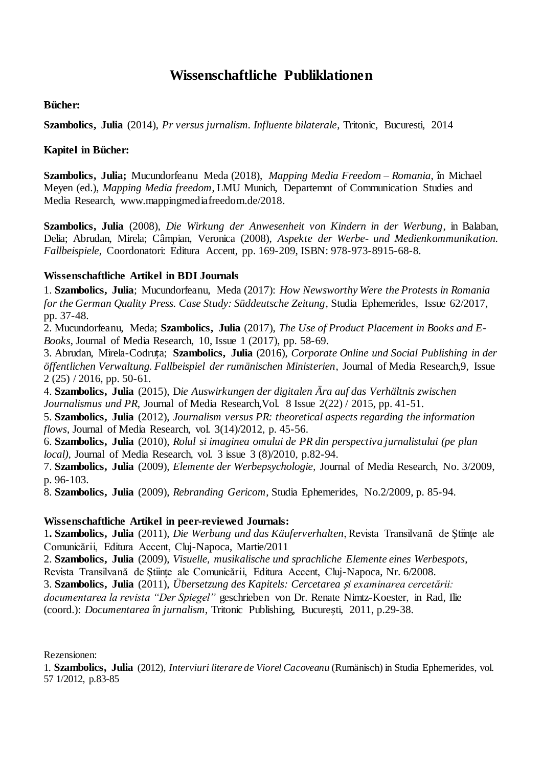# **Wissenschaftliche Publiklationen**

## **Bücher:**

**Szambolics, Julia** (2014), *Pr versus jurnalism. Influente bilaterale*, Tritonic, Bucuresti, 2014

## **Kapitel in Bücher:**

**Szambolics, Julia;** Mucundorfeanu Meda (2018), *Mapping Media Freedom – Romania*, în Michael Meyen (ed.), *Mapping Media freedom*, LMU Munich, Departemnt of Communication Studies and Media Research, www.mappingmediafreedom.de/2018.

**Szambolics, Julia** (2008), *Die Wirkung der Anwesenheit von Kindern in der Werbung*, in Balaban, Delia; Abrudan, Mirela; Câmpian, Veronica (2008), *Aspekte der Werbe- und Medienkommunikation. Fallbeispiele*, Coordonatori: Editura Accent, pp. 169-209, ISBN: 978-973-8915-68-8.

#### **Wissenschaftliche Artikel in BDI Journals**

1. **Szambolics, Julia**; Mucundorfeanu, Meda (2017): *How Newsworthy Were the Protests in Romania for the German Quality Press. Case Study: Süddeutsche Zeitung*, Studia Ephemerides, Issue 62/2017, pp. 37-48.

2. Mucundorfeanu, Meda; **Szambolics, Julia** (2017), *The Use of Product Placement in Books and E-Books*, Journal of Media Research, 10, Issue 1 (2017), pp. 58-69.

3. Abrudan, Mirela-Codruța; **Szambolics, Julia** (2016), *Corporate Online und Social Publishing in der öffentlichen Verwaltung. Fallbeispiel der rumänischen Ministerien*, Journal of Media Research,9, Issue 2 (25) / 2016, pp. 50-61.

4. **Szambolics, Julia** (2015), D*ie Auswirkungen der digitalen Ära auf das Verhältnis zwischen Journalismus und PR*, Journal of Media Research, Vol. 8 Issue 2(22) / 2015, pp. 41-51.

5. **Szambolics, Julia** (2012), *Journalism versus PR: theoretical aspects regarding the information flows*, Journal of Media Research, vol. 3(14)/2012, p. 45-56.

6. **Szambolics, Julia** (2010), *Rolul si imaginea omului de PR din perspectiva jurnalistului (pe plan local),* Journal of Media Research, vol. 3 issue 3 (8)/2010, p.82-94.

7. **Szambolics, Julia** (2009), *Elemente der Werbepsychologie,* Journal of Media Research, No. 3/2009, p. 96-103.

8. **Szambolics, Julia** (2009), *Rebranding Gericom*, Studia Ephemerides, No.2/2009, p. 85-94.

#### **Wissenschaftliche Artikel in peer-reviewed Journals:**

1**. Szambolics, Julia** (2011), *Die Werbung und das Käuferverhalten*, Revista Transilvană de Ştiinţe ale Comunicării, Editura Accent, Cluj-Napoca, Martie/2011

2. **Szambolics, Julia** (2009), *Visuelle, musikalische und sprachliche Elemente eines Werbespots*,

Revista Transilvană de Stiințe ale Comunicării, Editura Accent, Cluj-Napoca, Nr. 6/2008.

3. **Szambolics, Julia** (2011), *Übersetzung des Kapitels: Cercetarea* ș*i examinarea cercetării: documentarea la revista "Der Spiegel"* geschrieben von Dr. Renate Nimtz-Koester, in Rad, Ilie (coord.): *Documentarea în jurnalism*, Tritonic Publishing, București, 2011, p.29-38.

#### Rezensionen:

1. **Szambolics, Julia** (2012), *Interviuri literare de Viorel Cacoveanu* (Rumänisch) in Studia Ephemerides, vol. 57 1/2012, p.83-85